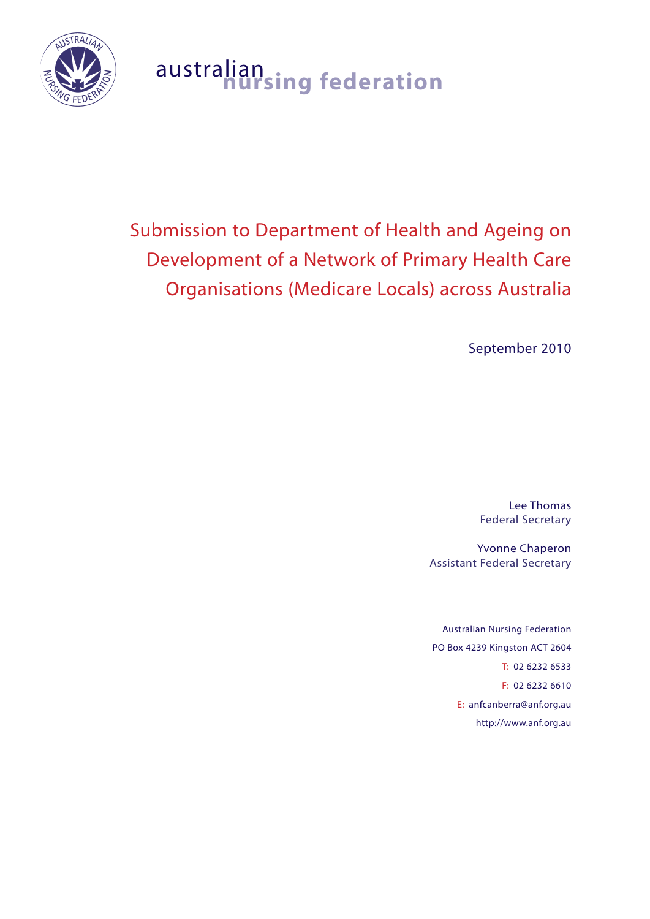

## australian **nursing federation**

# Submission to Department of Health and Ageing on Development of a Network of Primary Health Care Organisations (Medicare Locals) across Australia

September 2010

Lee Thomas Federal Secretary

Yvonne Chaperon Assistant Federal Secretary

Australian Nursing Federation PO Box 4239 Kingston ACT 2604 T: 02 6232 6533 F: 02 6232 6610 E: anfcanberra@anf.org.au http://www.anf.org.au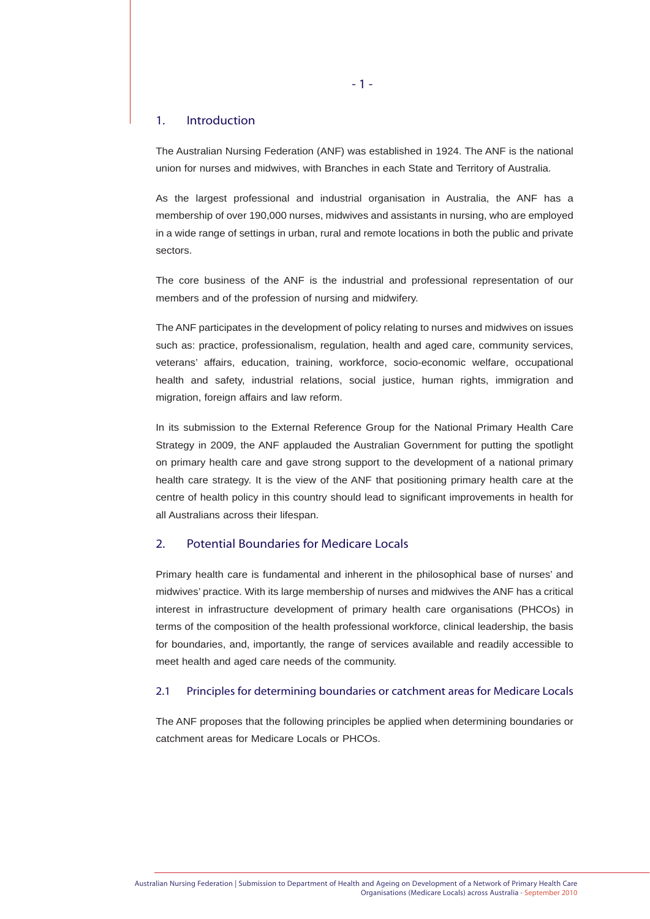#### 1. Introduction

The Australian Nursing Federation (ANF) was established in 1924. The ANF is the national union for nurses and midwives, with Branches in each State and Territory of Australia.

As the largest professional and industrial organisation in Australia, the ANF has a membership of over 190,000 nurses, midwives and assistants in nursing, who are employed in a wide range of settings in urban, rural and remote locations in both the public and private sectors.

The core business of the ANF is the industrial and professional representation of our members and of the profession of nursing and midwifery.

The ANF participates in the development of policy relating to nurses and midwives on issues such as: practice, professionalism, regulation, health and aged care, community services, veterans' affairs, education, training, workforce, socio-economic welfare, occupational health and safety, industrial relations, social justice, human rights, immigration and migration, foreign affairs and law reform.

In its submission to the External Reference Group for the National Primary Health Care Strategy in 2009, the ANF applauded the Australian Government for putting the spotlight on primary health care and gave strong support to the development of a national primary health care strategy. It is the view of the ANF that positioning primary health care at the centre of health policy in this country should lead to significant improvements in health for all Australians across their lifespan.

## 2. Potential Boundaries for Medicare Locals

Primary health care is fundamental and inherent in the philosophical base of nurses' and midwives' practice. With its large membership of nurses and midwives the ANF has a critical interest in infrastructure development of primary health care organisations (PHCOs) in terms of the composition of the health professional workforce, clinical leadership, the basis for boundaries, and, importantly, the range of services available and readily accessible to meet health and aged care needs of the community.

#### 2.1 Principles for determining boundaries or catchment areas for Medicare Locals

The ANF proposes that the following principles be applied when determining boundaries or catchment areas for Medicare Locals or PHCOs.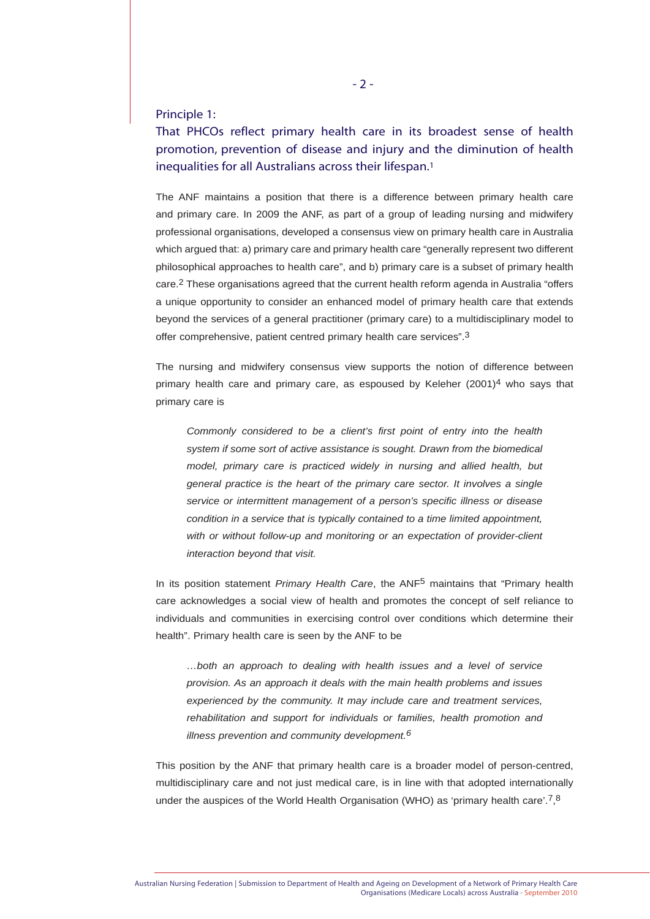### Principle 1:

## That PHCOs reflect primary health care in its broadest sense of health promotion, prevention of disease and injury and the diminution of health inequalities for all Australians across their lifespan.1

The ANF maintains a position that there is a difference between primary health care and primary care. In 2009 the ANF, as part of a group of leading nursing and midwifery professional organisations, developed a consensus view on primary health care in Australia which argued that: a) primary care and primary health care "generally represent two different philosophical approaches to health care", and b) primary care is a subset of primary health care.2 These organisations agreed that the current health reform agenda in Australia "offers a unique opportunity to consider an enhanced model of primary health care that extends beyond the services of a general practitioner (primary care) to a multidisciplinary model to offer comprehensive, patient centred primary health care services".3

The nursing and midwifery consensus view supports the notion of difference between primary health care and primary care, as espoused by Keleher (2001)4 who says that primary care is

*Commonly considered to be a client's first point of entry into the health system if some sort of active assistance is sought. Drawn from the biomedical model, primary care is practiced widely in nursing and allied health, but general practice is the heart of the primary care sector. It involves a single service or intermittent management of a person's specific illness or disease condition in a service that is typically contained to a time limited appointment, with or without follow-up and monitoring or an expectation of provider-client interaction beyond that visit.*

In its position statement *Primary Health Care*, the ANF5 maintains that "Primary health care acknowledges a social view of health and promotes the concept of self reliance to individuals and communities in exercising control over conditions which determine their health". Primary health care is seen by the ANF to be

*…both an approach to dealing with health issues and a level of service provision. As an approach it deals with the main health problems and issues experienced by the community. It may include care and treatment services, rehabilitation and support for individuals or families, health promotion and illness prevention and community development.6*

This position by the ANF that primary health care is a broader model of person-centred, multidisciplinary care and not just medical care, is in line with that adopted internationally under the auspices of the World Health Organisation (WHO) as 'primary health care'.<sup>7</sup>,<sup>8</sup>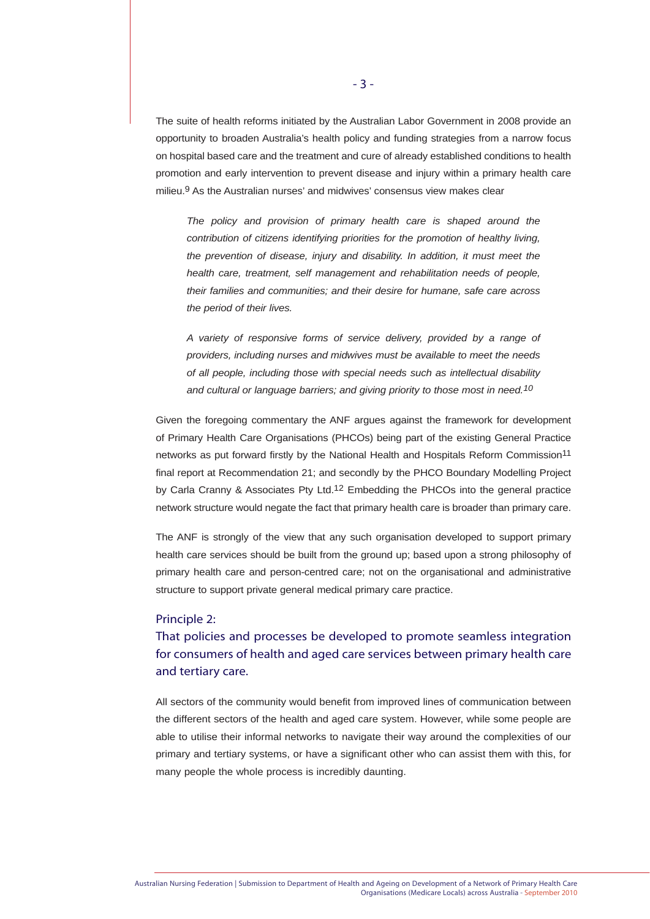The suite of health reforms initiated by the Australian Labor Government in 2008 provide an opportunity to broaden Australia's health policy and funding strategies from a narrow focus on hospital based care and the treatment and cure of already established conditions to health promotion and early intervention to prevent disease and injury within a primary health care milieu.9 As the Australian nurses' and midwives' consensus view makes clear

*The policy and provision of primary health care is shaped around the contribution of citizens identifying priorities for the promotion of healthy living, the prevention of disease, injury and disability. In addition, it must meet the health care, treatment, self management and rehabilitation needs of people, their families and communities; and their desire for humane, safe care across the period of their lives.*

*A variety of responsive forms of service delivery, provided by a range of providers, including nurses and midwives must be available to meet the needs of all people, including those with special needs such as intellectual disability and cultural or language barriers; and giving priority to those most in need.10*

Given the foregoing commentary the ANF argues against the framework for development of Primary Health Care Organisations (PHCOs) being part of the existing General Practice networks as put forward firstly by the National Health and Hospitals Reform Commission<sup>11</sup> final report at Recommendation 21; and secondly by the PHCO Boundary Modelling Project by Carla Cranny & Associates Pty Ltd.12 Embedding the PHCOs into the general practice network structure would negate the fact that primary health care is broader than primary care.

The ANF is strongly of the view that any such organisation developed to support primary health care services should be built from the ground up; based upon a strong philosophy of primary health care and person-centred care; not on the organisational and administrative structure to support private general medical primary care practice.

#### Principle 2:

That policies and processes be developed to promote seamless integration for consumers of health and aged care services between primary health care and tertiary care.

All sectors of the community would benefit from improved lines of communication between the different sectors of the health and aged care system. However, while some people are able to utilise their informal networks to navigate their way around the complexities of our primary and tertiary systems, or have a significant other who can assist them with this, for many people the whole process is incredibly daunting.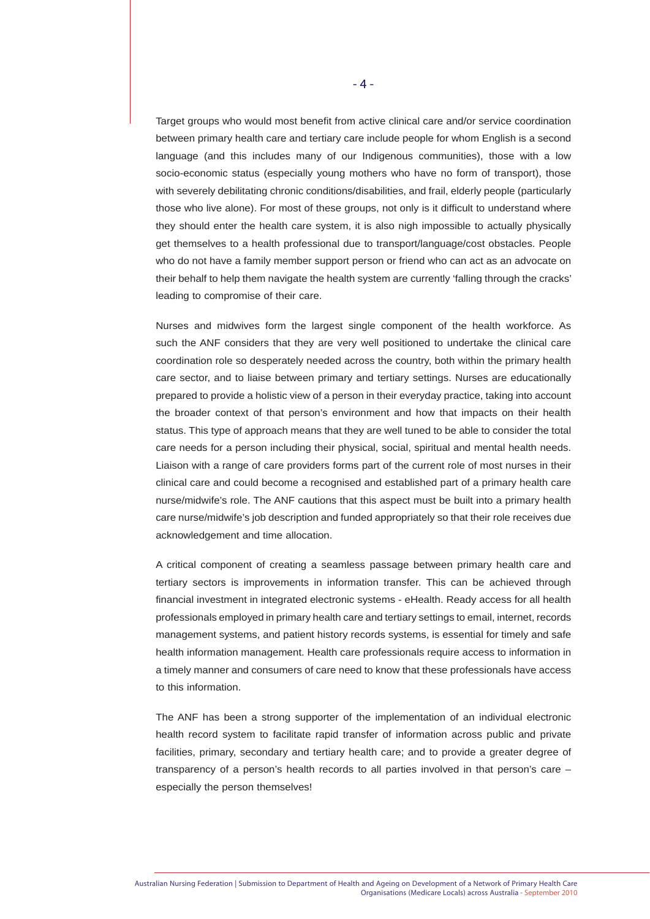Target groups who would most benefit from active clinical care and/or service coordination between primary health care and tertiary care include people for whom English is a second language (and this includes many of our Indigenous communities), those with a low socio-economic status (especially young mothers who have no form of transport), those with severely debilitating chronic conditions/disabilities, and frail, elderly people (particularly those who live alone). For most of these groups, not only is it difficult to understand where they should enter the health care system, it is also nigh impossible to actually physically get themselves to a health professional due to transport/language/cost obstacles. People who do not have a family member support person or friend who can act as an advocate on their behalf to help them navigate the health system are currently 'falling through the cracks' leading to compromise of their care.

Nurses and midwives form the largest single component of the health workforce. As such the ANF considers that they are very well positioned to undertake the clinical care coordination role so desperately needed across the country, both within the primary health care sector, and to liaise between primary and tertiary settings. Nurses are educationally prepared to provide a holistic view of a person in their everyday practice, taking into account the broader context of that person's environment and how that impacts on their health status. This type of approach means that they are well tuned to be able to consider the total care needs for a person including their physical, social, spiritual and mental health needs. Liaison with a range of care providers forms part of the current role of most nurses in their clinical care and could become a recognised and established part of a primary health care nurse/midwife's role. The ANF cautions that this aspect must be built into a primary health care nurse/midwife's job description and funded appropriately so that their role receives due acknowledgement and time allocation.

A critical component of creating a seamless passage between primary health care and tertiary sectors is improvements in information transfer. This can be achieved through financial investment in integrated electronic systems - eHealth. Ready access for all health professionals employed in primary health care and tertiary settings to email, internet, records management systems, and patient history records systems, is essential for timely and safe health information management. Health care professionals require access to information in a timely manner and consumers of care need to know that these professionals have access to this information.

The ANF has been a strong supporter of the implementation of an individual electronic health record system to facilitate rapid transfer of information across public and private facilities, primary, secondary and tertiary health care; and to provide a greater degree of transparency of a person's health records to all parties involved in that person's care – especially the person themselves!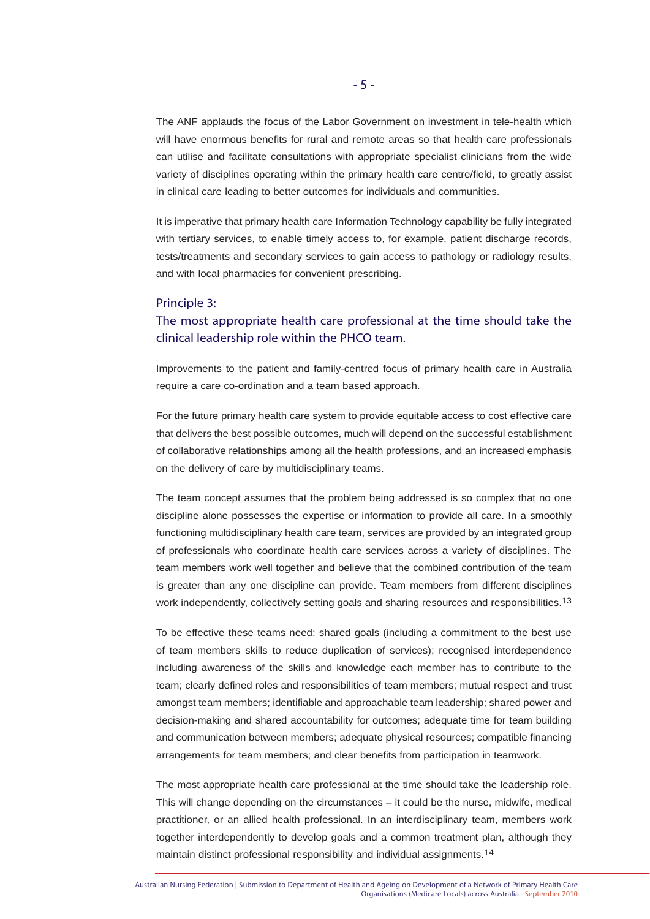The ANF applauds the focus of the Labor Government on investment in tele-health which will have enormous benefits for rural and remote areas so that health care professionals can utilise and facilitate consultations with appropriate specialist clinicians from the wide variety of disciplines operating within the primary health care centre/field, to greatly assist in clinical care leading to better outcomes for individuals and communities.

It is imperative that primary health care Information Technology capability be fully integrated with tertiary services, to enable timely access to, for example, patient discharge records, tests/treatments and secondary services to gain access to pathology or radiology results, and with local pharmacies for convenient prescribing.

#### Principle 3:

## The most appropriate health care professional at the time should take the clinical leadership role within the PHCO team.

Improvements to the patient and family-centred focus of primary health care in Australia require a care co-ordination and a team based approach.

For the future primary health care system to provide equitable access to cost effective care that delivers the best possible outcomes, much will depend on the successful establishment of collaborative relationships among all the health professions, and an increased emphasis on the delivery of care by multidisciplinary teams.

The team concept assumes that the problem being addressed is so complex that no one discipline alone possesses the expertise or information to provide all care. In a smoothly functioning multidisciplinary health care team, services are provided by an integrated group of professionals who coordinate health care services across a variety of disciplines. The team members work well together and believe that the combined contribution of the team is greater than any one discipline can provide. Team members from different disciplines work independently, collectively setting goals and sharing resources and responsibilities.<sup>13</sup>

To be effective these teams need: shared goals (including a commitment to the best use of team members skills to reduce duplication of services); recognised interdependence including awareness of the skills and knowledge each member has to contribute to the team; clearly defined roles and responsibilities of team members; mutual respect and trust amongst team members; identifiable and approachable team leadership; shared power and decision-making and shared accountability for outcomes; adequate time for team building and communication between members; adequate physical resources; compatible financing arrangements for team members; and clear benefits from participation in teamwork.

The most appropriate health care professional at the time should take the leadership role. This will change depending on the circumstances – it could be the nurse, midwife, medical practitioner, or an allied health professional. In an interdisciplinary team, members work together interdependently to develop goals and a common treatment plan, although they maintain distinct professional responsibility and individual assignments.<sup>14</sup>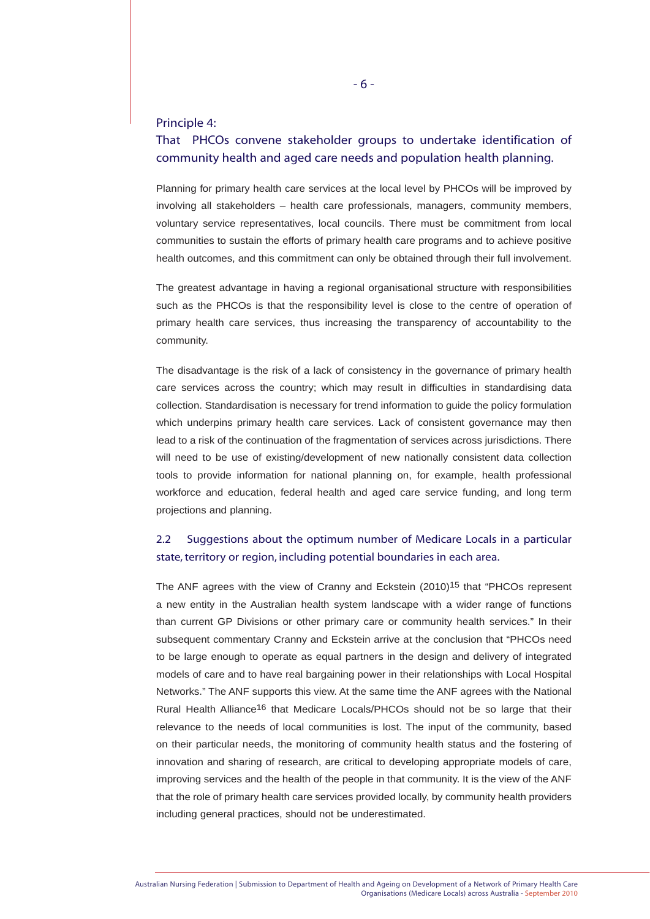#### Principle 4:

## That PHCOs convene stakeholder groups to undertake identification of community health and aged care needs and population health planning.

Planning for primary health care services at the local level by PHCOs will be improved by involving all stakeholders – health care professionals, managers, community members, voluntary service representatives, local councils. There must be commitment from local communities to sustain the efforts of primary health care programs and to achieve positive health outcomes, and this commitment can only be obtained through their full involvement.

The greatest advantage in having a regional organisational structure with responsibilities such as the PHCOs is that the responsibility level is close to the centre of operation of primary health care services, thus increasing the transparency of accountability to the community.

The disadvantage is the risk of a lack of consistency in the governance of primary health care services across the country; which may result in difficulties in standardising data collection. Standardisation is necessary for trend information to guide the policy formulation which underpins primary health care services. Lack of consistent governance may then lead to a risk of the continuation of the fragmentation of services across jurisdictions. There will need to be use of existing/development of new nationally consistent data collection tools to provide information for national planning on, for example, health professional workforce and education, federal health and aged care service funding, and long term projections and planning.

## 2.2 Suggestions about the optimum number of Medicare Locals in a particular state, territory or region, including potential boundaries in each area.

The ANF agrees with the view of Cranny and Eckstein  $(2010)^{15}$  that "PHCOs represent a new entity in the Australian health system landscape with a wider range of functions than current GP Divisions or other primary care or community health services." In their subsequent commentary Cranny and Eckstein arrive at the conclusion that "PHCOs need to be large enough to operate as equal partners in the design and delivery of integrated models of care and to have real bargaining power in their relationships with Local Hospital Networks." The ANF supports this view. At the same time the ANF agrees with the National Rural Health Alliance<sup>16</sup> that Medicare Locals/PHCOs should not be so large that their relevance to the needs of local communities is lost. The input of the community, based on their particular needs, the monitoring of community health status and the fostering of innovation and sharing of research, are critical to developing appropriate models of care, improving services and the health of the people in that community. It is the view of the ANF that the role of primary health care services provided locally, by community health providers including general practices, should not be underestimated.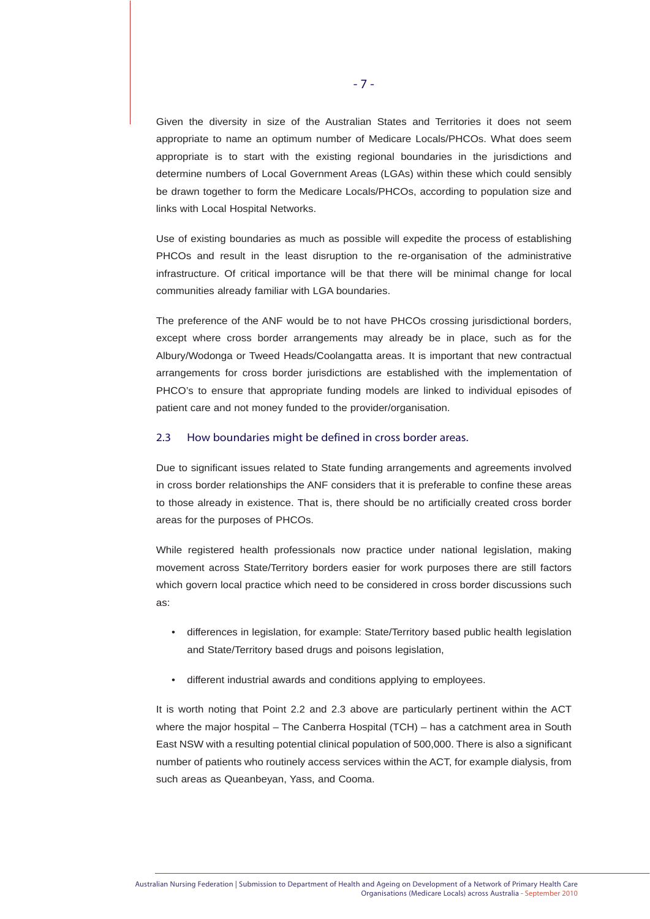Given the diversity in size of the Australian States and Territories it does not seem appropriate to name an optimum number of Medicare Locals/PHCOs. What does seem appropriate is to start with the existing regional boundaries in the jurisdictions and determine numbers of Local Government Areas (LGAs) within these which could sensibly be drawn together to form the Medicare Locals/PHCOs, according to population size and links with Local Hospital Networks.

Use of existing boundaries as much as possible will expedite the process of establishing PHCOs and result in the least disruption to the re-organisation of the administrative infrastructure. Of critical importance will be that there will be minimal change for local communities already familiar with LGA boundaries.

The preference of the ANF would be to not have PHCOs crossing jurisdictional borders, except where cross border arrangements may already be in place, such as for the Albury/Wodonga or Tweed Heads/Coolangatta areas. It is important that new contractual arrangements for cross border jurisdictions are established with the implementation of PHCO's to ensure that appropriate funding models are linked to individual episodes of patient care and not money funded to the provider/organisation.

#### 2.3 How boundaries might be defined in cross border areas.

Due to significant issues related to State funding arrangements and agreements involved in cross border relationships the ANF considers that it is preferable to confine these areas to those already in existence. That is, there should be no artificially created cross border areas for the purposes of PHCOs.

While registered health professionals now practice under national legislation, making movement across State/Territory borders easier for work purposes there are still factors which govern local practice which need to be considered in cross border discussions such as:

- differences in legislation, for example: State/Territory based public health legislation and State/Territory based drugs and poisons legislation,
- different industrial awards and conditions applying to employees.

It is worth noting that Point 2.2 and 2.3 above are particularly pertinent within the ACT where the major hospital – The Canberra Hospital (TCH) – has a catchment area in South East NSW with a resulting potential clinical population of 500,000. There is also a significant number of patients who routinely access services within the ACT, for example dialysis, from such areas as Queanbeyan, Yass, and Cooma.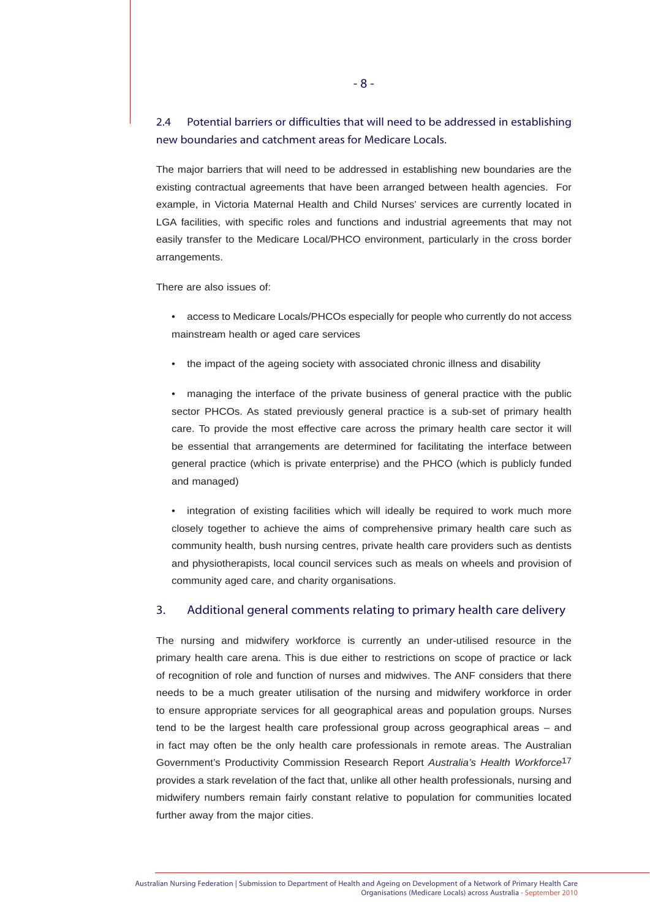## 2.4 Potential barriers or difficulties that will need to be addressed in establishing new boundaries and catchment areas for Medicare Locals.

The major barriers that will need to be addressed in establishing new boundaries are the existing contractual agreements that have been arranged between health agencies. For example, in Victoria Maternal Health and Child Nurses' services are currently located in LGA facilities, with specific roles and functions and industrial agreements that may not easily transfer to the Medicare Local/PHCO environment, particularly in the cross border arrangements.

There are also issues of:

- access to Medicare Locals/PHCOs especially for people who currently do not access mainstream health or aged care services
- the impact of the ageing society with associated chronic illness and disability

• managing the interface of the private business of general practice with the public sector PHCOs. As stated previously general practice is a sub-set of primary health care. To provide the most effective care across the primary health care sector it will be essential that arrangements are determined for facilitating the interface between general practice (which is private enterprise) and the PHCO (which is publicly funded and managed)

integration of existing facilities which will ideally be required to work much more closely together to achieve the aims of comprehensive primary health care such as community health, bush nursing centres, private health care providers such as dentists and physiotherapists, local council services such as meals on wheels and provision of community aged care, and charity organisations.

#### 3. Additional general comments relating to primary health care delivery

The nursing and midwifery workforce is currently an under-utilised resource in the primary health care arena. This is due either to restrictions on scope of practice or lack of recognition of role and function of nurses and midwives. The ANF considers that there needs to be a much greater utilisation of the nursing and midwifery workforce in order to ensure appropriate services for all geographical areas and population groups. Nurses tend to be the largest health care professional group across geographical areas – and in fact may often be the only health care professionals in remote areas. The Australian Government's Productivity Commission Research Report *Australia's Health Workforce*17 provides a stark revelation of the fact that, unlike all other health professionals, nursing and midwifery numbers remain fairly constant relative to population for communities located further away from the major cities.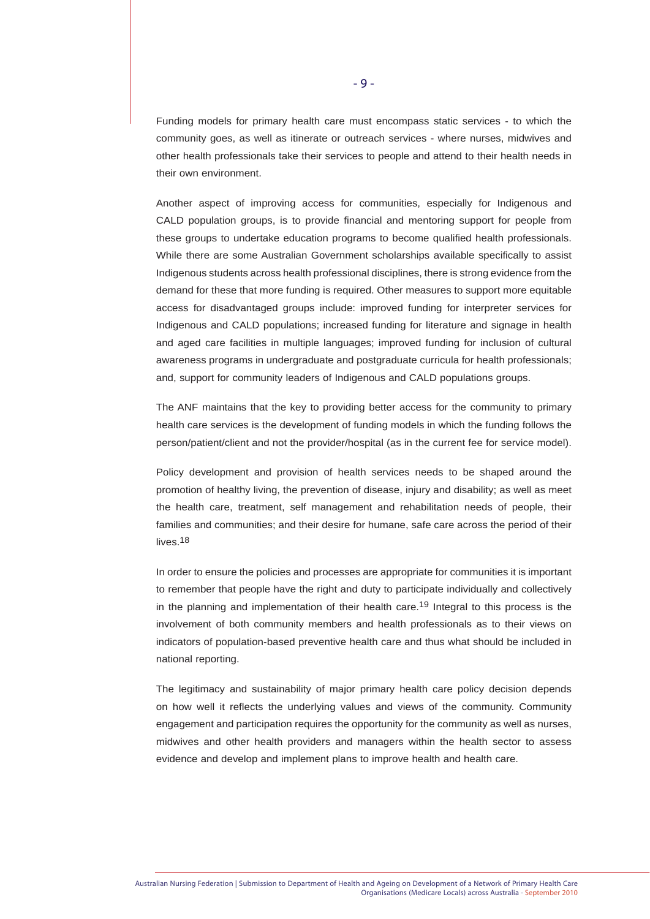Funding models for primary health care must encompass static services - to which the community goes, as well as itinerate or outreach services - where nurses, midwives and other health professionals take their services to people and attend to their health needs in their own environment.

Another aspect of improving access for communities, especially for Indigenous and CALD population groups, is to provide financial and mentoring support for people from these groups to undertake education programs to become qualified health professionals. While there are some Australian Government scholarships available specifically to assist Indigenous students across health professional disciplines, there is strong evidence from the demand for these that more funding is required. Other measures to support more equitable access for disadvantaged groups include: improved funding for interpreter services for Indigenous and CALD populations; increased funding for literature and signage in health and aged care facilities in multiple languages; improved funding for inclusion of cultural awareness programs in undergraduate and postgraduate curricula for health professionals; and, support for community leaders of Indigenous and CALD populations groups.

The ANF maintains that the key to providing better access for the community to primary health care services is the development of funding models in which the funding follows the person/patient/client and not the provider/hospital (as in the current fee for service model).

Policy development and provision of health services needs to be shaped around the promotion of healthy living, the prevention of disease, injury and disability; as well as meet the health care, treatment, self management and rehabilitation needs of people, their families and communities; and their desire for humane, safe care across the period of their lives.18

In order to ensure the policies and processes are appropriate for communities it is important to remember that people have the right and duty to participate individually and collectively in the planning and implementation of their health care.19 Integral to this process is the involvement of both community members and health professionals as to their views on indicators of population-based preventive health care and thus what should be included in national reporting.

The legitimacy and sustainability of major primary health care policy decision depends on how well it reflects the underlying values and views of the community. Community engagement and participation requires the opportunity for the community as well as nurses, midwives and other health providers and managers within the health sector to assess evidence and develop and implement plans to improve health and health care.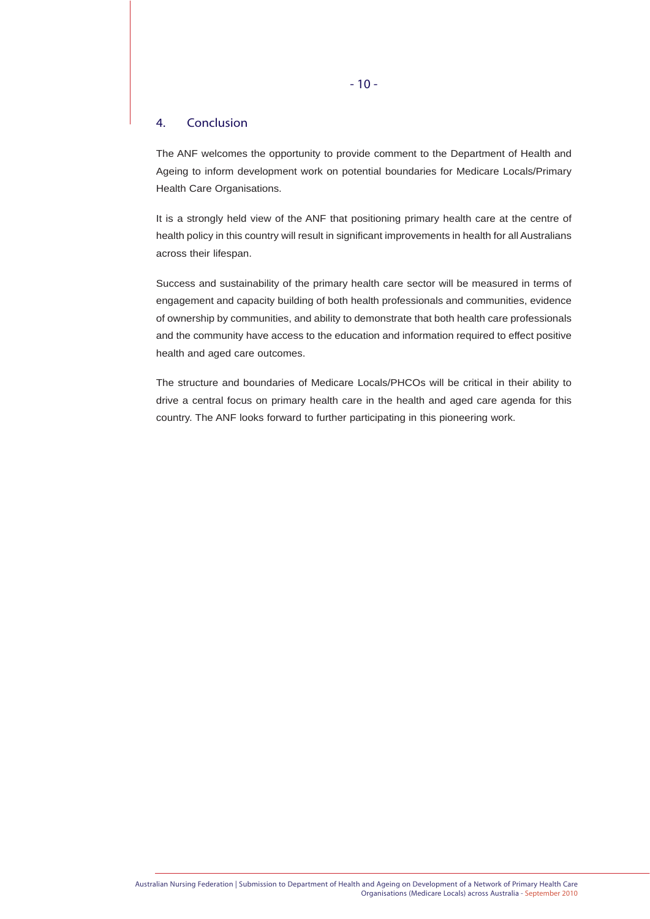#### 4. Conclusion

The ANF welcomes the opportunity to provide comment to the Department of Health and Ageing to inform development work on potential boundaries for Medicare Locals/Primary Health Care Organisations.

It is a strongly held view of the ANF that positioning primary health care at the centre of health policy in this country will result in significant improvements in health for all Australians across their lifespan.

Success and sustainability of the primary health care sector will be measured in terms of engagement and capacity building of both health professionals and communities, evidence of ownership by communities, and ability to demonstrate that both health care professionals and the community have access to the education and information required to effect positive health and aged care outcomes.

The structure and boundaries of Medicare Locals/PHCOs will be critical in their ability to drive a central focus on primary health care in the health and aged care agenda for this country. The ANF looks forward to further participating in this pioneering work.